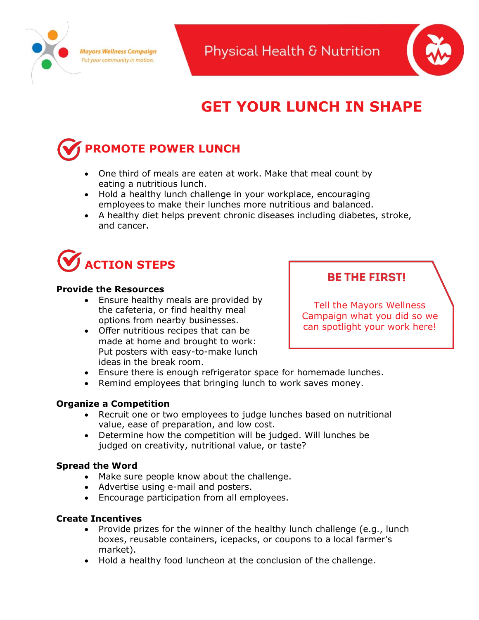



# **GET YOUR LUNCH IN SHAPE**

## **PROMOTE POWER LUNCH**

- One third of meals are eaten at work. Make that meal count by eating a nutritious lunch.
- Hold a healthy lunch challenge in your workplace, encouraging employees to make their lunches more nutritious and balanced.
- A healthy diet helps prevent chronic diseases including diabetes, stroke, and cancer.



## **Provide the Resources**

- Ensure healthy meals are provided by the cafeteria, or find healthy meal options from nearby businesses.
- Offer nutritious recipes that can be made at home and brought to work: Put posters with easy-to-make lunch ideas in the break room.

## **BE THE FIRST!**

Tell the Mayors Wellness Campaign what you did so we can spotlight your work here!

- Ensure there is enough refrigerator space for homemade lunches.
- Remind employees that bringing lunch to work saves money.

## **Organize a Competition**

- Recruit one or two employees to judge lunches based on nutritional value, ease of preparation, and low cost.
- Determine how the competition will be judged. Will lunches be judged on creativity, nutritional value, or taste?

## **Spread the Word**

- Make sure people know about the challenge.
- Advertise using e-mail and posters.
- Encourage participation from all employees.

## **Create Incentives**

- Provide prizes for the winner of the healthy lunch challenge (e.g., lunch boxes, reusable containers, icepacks, or coupons to a local farmer's market).
- Hold a healthy food luncheon at the conclusion of the challenge.